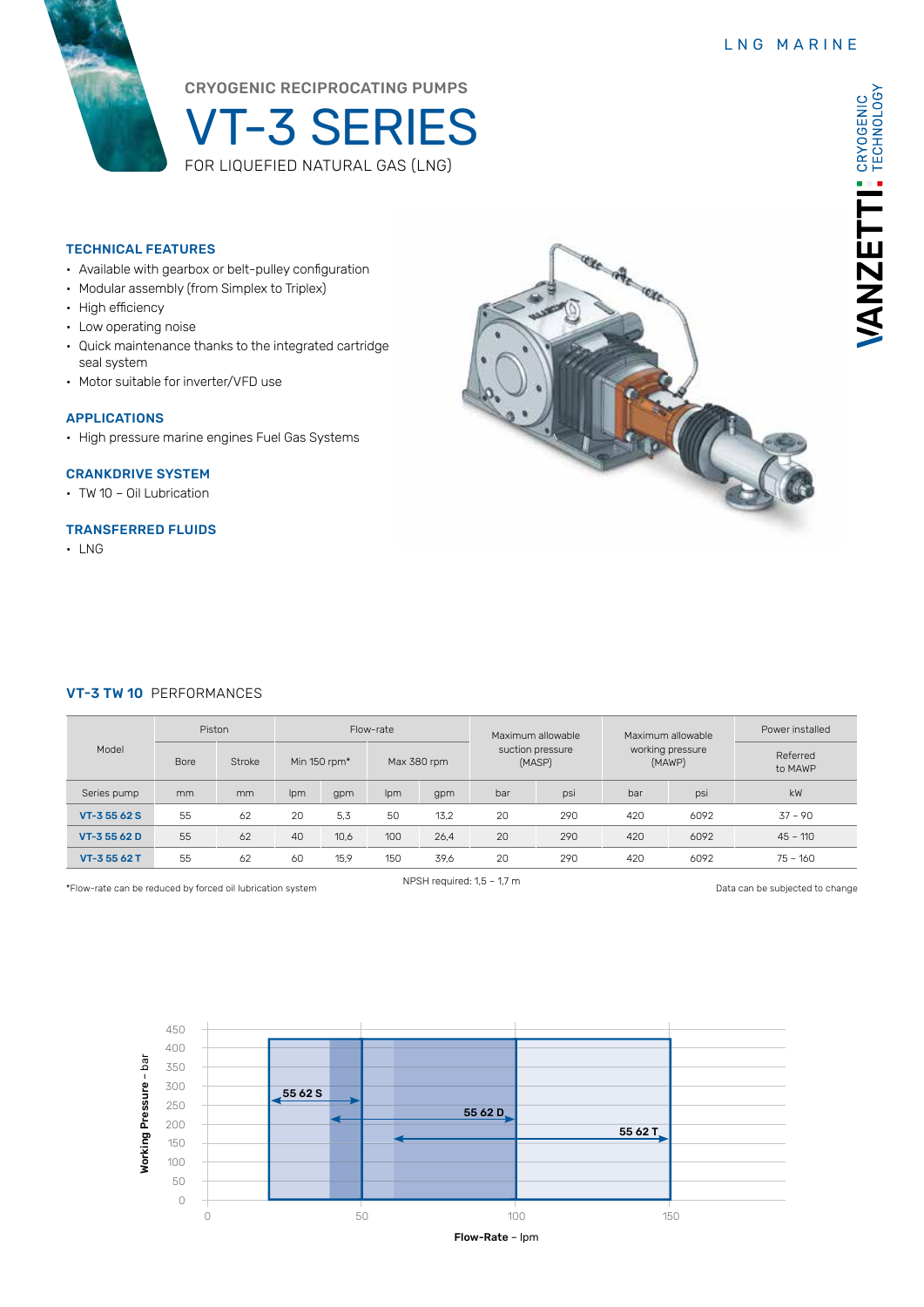VANZETTI: CRYOGENIC



# CRYOGENIC RECIPROCATING PUMPS

VT-3 SERIES FOR LIQUEFIED NATURAL GAS (LNG)

## TECHNICAL FEATURES

- Available with gearbox or belt-pulley configuration
- Modular assembly (from Simplex to Triplex)
- High efficiency
- Low operating noise
- Quick maintenance thanks to the integrated cartridge seal system
- Motor suitable for inverter/VFD use

### APPLICATIONS

• High pressure marine engines Fuel Gas Systems

## CRANKDRIVE SYSTEM

• TW 10 – Oil Lubrication

## TRANSFERRED FLUIDS

• LNG



#### VT-3 TW 10 PERFORMANCES

| Model        | Piston |        | Flow-rate    |      |             |      | Maximum allowable          |     | Maximum allowable          |      | Power installed     |
|--------------|--------|--------|--------------|------|-------------|------|----------------------------|-----|----------------------------|------|---------------------|
|              | Bore   | Stroke | Min 150 rpm* |      | Max 380 rpm |      | suction pressure<br>(MASP) |     | working pressure<br>(MAWP) |      | Referred<br>to MAWP |
| Series pump  | mm     | mm     | Ipm          | gpm  | Ipm         | gpm  | bar                        | psi | bar                        | psi  | kW                  |
| VT-3 55 62 S | 55     | 62     | 20           | 5.3  | 50          | 13.2 | 20                         | 290 | 420                        | 6092 | $37 - 90$           |
| VT-35562D    | 55     | 62     | 40           | 10,6 | 100         | 26.4 | 20                         | 290 | 420                        | 6092 | $45 - 110$          |
| VT-35562T    | 55     | 62     | 60           | 15,9 | 150         | 39.6 | 20                         | 290 | 420                        | 6092 | $75 - 160$          |

NPSH required: 1,5 – 1,7 m \*Flow-rate can be reduced by forced oil lubrication system Data can be subjected to change